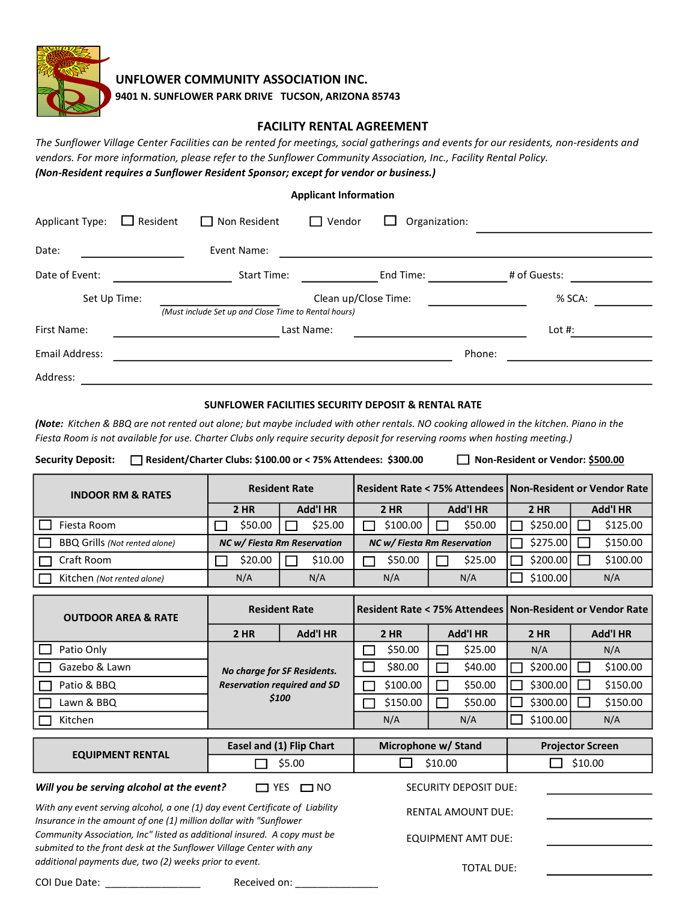

UNFLOWER COMMUNITY ASSOCIATION INC.

9401 N. SUNFLOWER PARK DRIVE TUCSON, ARIZONA 85743

## FACILITY RENTAL AGREEMENT

The Sunflower Village Center Facilities can be rented for meetings, social gatherings and events for our residents, non-residents and vendors. For more information, please refer to the Sunflower Community Association, Inc., Facility Rental Policy. (Non-Resident requires a Sunflower Resident Sponsor; except for vendor or business.)

|  | <b>Applicant Information</b> |
|--|------------------------------|
|--|------------------------------|

| <b>Applicant Type:</b> | $\Box$ Resident | $\Box$ Non Resident                                  | Vendor<br>$\Box$     | Organization: |              |  |
|------------------------|-----------------|------------------------------------------------------|----------------------|---------------|--------------|--|
| Date:                  |                 | Event Name:                                          |                      |               |              |  |
| Date of Event:         |                 | <b>Start Time:</b>                                   |                      | End Time:     | # of Guests: |  |
| Set Up Time:           |                 | (Must include Set up and Close Time to Rental hours) | Clean up/Close Time: |               | % SCA:       |  |
| First Name:            |                 |                                                      | Last Name:           |               | Lot $#$ :    |  |
| Email Address:         |                 |                                                      |                      |               | Phone:       |  |
| Address:               |                 |                                                      |                      |               |              |  |

## SUNFLOWER FACILITIES SECURITY DEPOSIT & RENTAL RATE

(Note: Kitchen & BBQ are not rented out alone; but maybe included with other rentals. NO cooking allowed in the kitchen. Piano in the Fiesta Room is not available for use. Charter Clubs only require security deposit for reserving rooms when hosting meeting.)

Security Deposit: <br>
Resident or Vendor: \$500.00 or < 75% Attendees: \$300.00 <br>
Non-Resident or Vendor: \$500.00

| <b>INDOOR RM &amp; RATES</b>         | <b>Resident Rate</b>        |                 |                             |                 | Resident Rate < 75% Attendees   Non-Resident or Vendor Rate |                 |  |
|--------------------------------------|-----------------------------|-----------------|-----------------------------|-----------------|-------------------------------------------------------------|-----------------|--|
|                                      | <b>2 HR</b>                 | <b>Add'l HR</b> | $2$ HR                      | <b>Add'l HR</b> | $2$ HR                                                      | <b>Add'l HR</b> |  |
| Fiesta Room                          | \$50.00                     | \$25.00         | \$100.00                    | \$50.00         | \$250.00                                                    | \$125.00        |  |
| <b>BBQ Grills (Not rented alone)</b> | NC w/ Fiesta Rm Reservation |                 | NC w/ Fiesta Rm Reservation |                 | \$275.00                                                    | \$150.00        |  |
| Craft Room                           | \$20.00                     | \$10.00         | \$50.00                     | \$25.00         | \$200.00                                                    | \$100.00        |  |
| Kitchen (Not rented alone)           | N/A                         | N/A             | N/A                         | N/A             | \$100.00                                                    | N/A             |  |

| <b>OUTDOOR AREA &amp; RATE</b> | <b>Resident Rate</b>                                                       |                 | Resident Rate < 75% Attendees   Non-Resident or Vendor Rate |             |                 |         |             |          |                 |          |
|--------------------------------|----------------------------------------------------------------------------|-----------------|-------------------------------------------------------------|-------------|-----------------|---------|-------------|----------|-----------------|----------|
|                                | $2$ HR                                                                     | <b>Add'l HR</b> |                                                             | <b>2 HR</b> | <b>Add'l HR</b> |         | <b>2 HR</b> |          | <b>Add'l HR</b> |          |
| Patio Only                     |                                                                            |                 |                                                             | \$50.00     |                 | \$25.00 |             | N/A      |                 | N/A      |
| Gazebo & Lawn                  | No charge for SF Residents.<br><b>Reservation required and SD</b><br>\$100 |                 |                                                             | \$80.00     |                 | \$40.00 |             | \$200.00 |                 | \$100.00 |
| Patio & BBQ                    |                                                                            |                 |                                                             | \$100.00    |                 | \$50.00 |             | \$300.00 |                 | \$150.00 |
| Lawn & BBQ                     |                                                                            |                 |                                                             | \$150.00    |                 | \$50.00 |             | \$300.00 |                 | \$150.00 |
| Kitchen                        |                                                                            |                 |                                                             | N/A         |                 | N/A     |             | \$100.00 |                 | N/A      |

|                                                                                                                                                                                                           | Easel and (1) Flip Chart  | Microphone w/ Stand       | <b>Projector Screen</b> |  |  |
|-----------------------------------------------------------------------------------------------------------------------------------------------------------------------------------------------------------|---------------------------|---------------------------|-------------------------|--|--|
| <b>EQUIPMENT RENTAL</b>                                                                                                                                                                                   | \$5.00                    | \$10.00                   | \$10.00                 |  |  |
| Will you be serving alcohol at the event?                                                                                                                                                                 | <b>□</b> NO<br>$\Box$ yes | SECURITY DEPOSIT DUE:     |                         |  |  |
| With any event serving alcohol, a one (1) day event Certificate of Liability<br>Insurance in the amount of one (1) million dollar with "Sunflower                                                         |                           | <b>RENTAL AMOUNT DUE:</b> |                         |  |  |
| Community Association, Inc" listed as additional insured. A copy must be<br>submited to the front desk at the Sunflower Village Center with any<br>additional payments due, two (2) weeks prior to event. |                           | EQUIPMENT AMT DUE:        |                         |  |  |
|                                                                                                                                                                                                           |                           | TOTAL DUE:                |                         |  |  |

COI Due Date: \_\_\_\_\_\_\_\_\_\_\_\_\_\_\_\_\_ Received on: \_\_\_\_\_\_\_\_\_\_\_\_\_\_\_\_